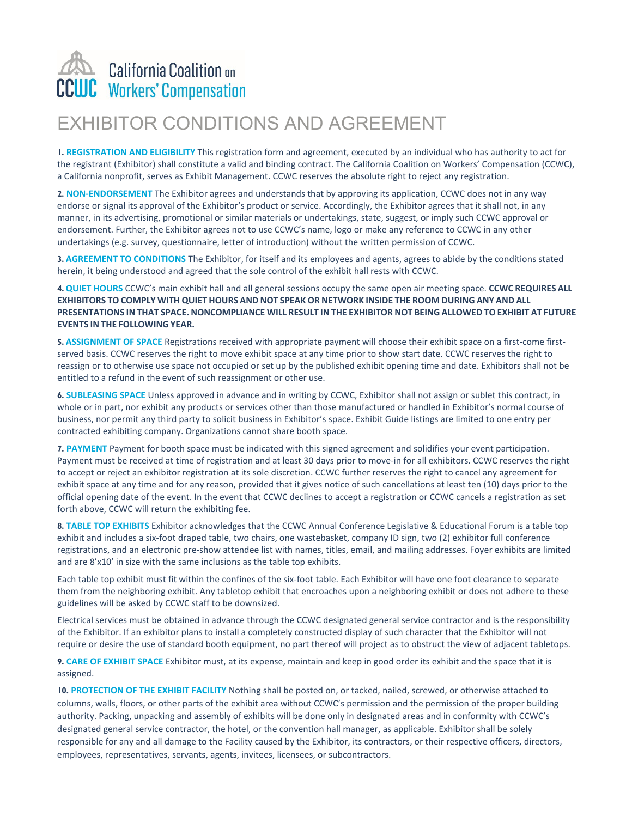## **California Coalition on WC** Workers' Compensation

## EXHIBITOR CONDITIONS AND AGREEMENT

**1. REGISTRATION AND ELIGIBILITY** This registration form and agreement, executed by an individual who has authority to act for the registrant (Exhibitor) shall constitute a valid and binding contract. The California Coalition on Workers' Compensation (CCWC), a California nonprofit, serves as Exhibit Management. CCWC reserves the absolute right to reject any registration.

**2. NON-ENDORSEMENT** The Exhibitor agrees and understands that by approving its application, CCWC does not in any way endorse or signal its approval of the Exhibitor's product or service. Accordingly, the Exhibitor agrees that it shall not, in any manner, in its advertising, promotional or similar materials or undertakings, state, suggest, or imply such CCWC approval or endorsement. Further, the Exhibitor agrees not to use CCWC's name, logo or make any reference to CCWC in any other undertakings (e.g. survey, questionnaire, letter of introduction) without the written permission of CCWC.

**3. AGREEMENT TO CONDITIONS** The Exhibitor, for itself and its employees and agents, agrees to abide by the conditions stated herein, it being understood and agreed that the sole control of the exhibit hall rests with CCWC.

**4. QUIET HOURS** CCWC's main exhibit hall and all general sessions occupy the same open air meeting space. **CCWC REQUIRES ALL EXHIBITORS TO COMPLY WITH QUIET HOURS AND NOT SPEAK OR NETWORK INSIDE THE ROOM DURING ANY AND ALL** PRESENTATIONS IN THAT SPACE. NONCOMPLIANCE WILL RESULT IN THE EXHIBITOR NOT BEING ALLOWED TO EXHIBIT AT FUTURE **EVENTS IN THE FOLLOWING YEAR.**

**5. ASSIGNMENT OF SPACE** Registrations received with appropriate payment will choose their exhibit space on a first-come firstserved basis. CCWC reserves the right to move exhibit space at any time prior to show start date. CCWC reserves the right to reassign or to otherwise use space not occupied or set up by the published exhibit opening time and date. Exhibitors shall not be entitled to a refund in the event of such reassignment or other use.

**6. SUBLEASING SPACE** Unless approved in advance and in writing by CCWC, Exhibitor shall not assign or sublet this contract, in whole or in part, nor exhibit any products or services other than those manufactured or handled in Exhibitor's normal course of business, nor permit any third party to solicit business in Exhibitor's space. Exhibit Guide listings are limited to one entry per contracted exhibiting company. Organizations cannot share booth space.

**7. PAYMENT** Payment for booth space must be indicated with this signed agreement and solidifies your event participation. Payment must be received at time of registration and at least 30 days prior to move-in for all exhibitors. CCWC reserves the right to accept or reject an exhibitor registration at its sole discretion. CCWC further reserves the right to cancel any agreement for exhibit space at any time and for any reason, provided that it gives notice of such cancellations at least ten (10) days prior to the official opening date of the event. In the event that CCWC declines to accept a registration or CCWC cancels a registration as set forth above, CCWC will return the exhibiting fee.

**8. TABLE TOP EXHIBITS** Exhibitor acknowledges that the CCWC Annual Conference Legislative & Educational Forum is a table top exhibit and includes a six-foot draped table, two chairs, one wastebasket, company ID sign, two (2) exhibitor full conference registrations, and an electronic pre-show attendee list with names, titles, email, and mailing addresses. Foyer exhibits are limited and are 8'x10' in size with the same inclusions as the table top exhibits.

Each table top exhibit must fit within the confines of the six-foot table. Each Exhibitor will have one foot clearance to separate them from the neighboring exhibit. Any tabletop exhibit that encroaches upon a neighboring exhibit or does not adhere to these guidelines will be asked by CCWC staff to be downsized.

Electrical services must be obtained in advance through the CCWC designated general service contractor and is the responsibility of the Exhibitor. If an exhibitor plans to install a completely constructed display of such character that the Exhibitor will not require or desire the use of standard booth equipment, no part thereof will project as to obstruct the view of adjacent tabletops.

**9. CARE OF EXHIBIT SPACE** Exhibitor must, at its expense, maintain and keep in good order its exhibit and the space that it is assigned.

**10. PROTECTION OF THE EXHIBIT FACILITY** Nothing shall be posted on, or tacked, nailed, screwed, or otherwise attached to columns, walls, floors, or other parts of the exhibit area without CCWC's permission and the permission of the proper building authority. Packing, unpacking and assembly of exhibits will be done only in designated areas and in conformity with CCWC's designated general service contractor, the hotel, or the convention hall manager, as applicable. Exhibitor shall be solely responsible for any and all damage to the Facility caused by the Exhibitor, its contractors, or their respective officers, directors, employees, representatives, servants, agents, invitees, licensees, or subcontractors.